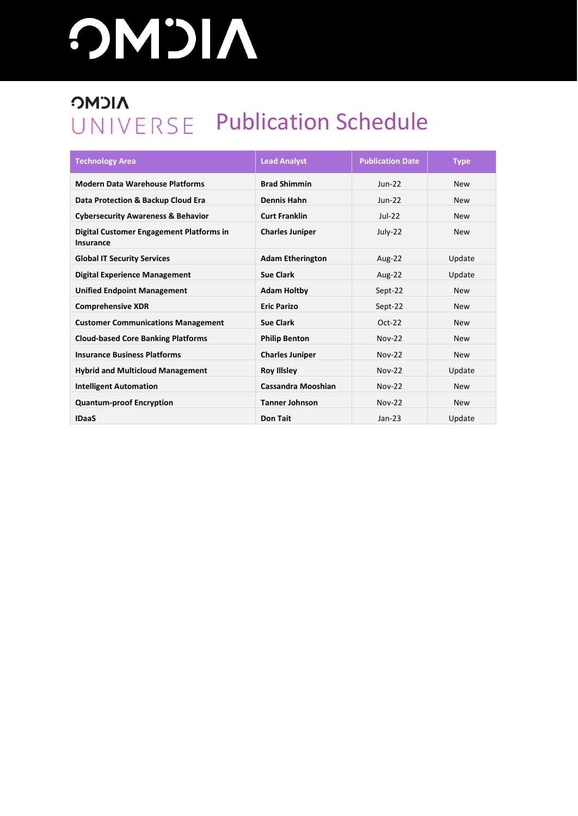# **AICMG**

### **NICMC** UNIVERSE Publication Schedule

| <b>Technology Area</b>                                | <b>Lead Analyst</b>       | <b>Publication Date</b> | <b>Type</b> |
|-------------------------------------------------------|---------------------------|-------------------------|-------------|
| <b>Modern Data Warehouse Platforms</b>                | <b>Brad Shimmin</b>       | $Jun-22$                | <b>New</b>  |
| Data Protection & Backup Cloud Era                    | <b>Dennis Hahn</b>        | $Jun-22$                | <b>New</b>  |
| <b>Cybersecurity Awareness &amp; Behavior</b>         | <b>Curt Franklin</b>      | $Jul-22$                | <b>New</b>  |
| Digital Customer Engagement Platforms in<br>Insurance | <b>Charles Juniper</b>    | July-22                 | <b>New</b>  |
| <b>Global IT Security Services</b>                    | <b>Adam Etherington</b>   | Aug-22                  | Update      |
| <b>Digital Experience Management</b>                  | <b>Sue Clark</b>          | Aug-22                  | Update      |
| <b>Unified Endpoint Management</b>                    | <b>Adam Holtby</b>        | Sept-22                 | <b>New</b>  |
| <b>Comprehensive XDR</b>                              | <b>Eric Parizo</b>        | Sept-22                 | <b>New</b>  |
| <b>Customer Communications Management</b>             | <b>Sue Clark</b>          | Oct-22                  | <b>New</b>  |
| <b>Cloud-based Core Banking Platforms</b>             | <b>Philip Benton</b>      | <b>Nov-22</b>           | <b>New</b>  |
| <b>Insurance Business Platforms</b>                   | <b>Charles Juniper</b>    | <b>Nov-22</b>           | <b>New</b>  |
| <b>Hybrid and Multicloud Management</b>               | <b>Roy Illsley</b>        | <b>Nov-22</b>           | Update      |
| <b>Intelligent Automation</b>                         | <b>Cassandra Mooshian</b> | <b>Nov-22</b>           | <b>New</b>  |
| <b>Quantum-proof Encryption</b>                       | <b>Tanner Johnson</b>     | <b>Nov-22</b>           | <b>New</b>  |
| <b>IDaaS</b>                                          | <b>Don Tait</b>           | $Jan-23$                | Update      |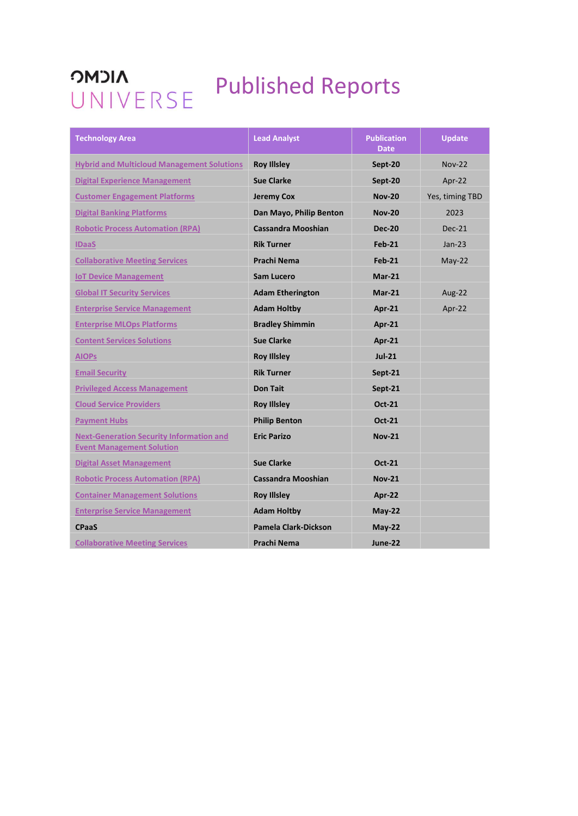### **NICMC OMJIA**<br>UNIVERSE Published Reports

| <b>Technology Area</b>                                                              | <b>Lead Analyst</b>       | <b>Publication</b><br><b>Date</b> | <b>Update</b>   |
|-------------------------------------------------------------------------------------|---------------------------|-----------------------------------|-----------------|
| <b>Hybrid and Multicloud Management Solutions</b>                                   | <b>Roy Illsley</b>        | Sept-20                           | <b>Nov-22</b>   |
| <b>Digital Experience Management</b>                                                | <b>Sue Clarke</b>         | Sept-20                           | Apr- $22$       |
| <b>Customer Engagement Platforms</b>                                                | <b>Jeremy Cox</b>         | <b>Nov-20</b>                     | Yes, timing TBD |
| <b>Digital Banking Platforms</b>                                                    | Dan Mayo, Philip Benton   | <b>Nov-20</b>                     | 2023            |
| <b>Robotic Process Automation (RPA)</b>                                             | <b>Cassandra Mooshian</b> | <b>Dec-20</b>                     | $Dec-21$        |
| <b>IDaaS</b>                                                                        | <b>Rik Turner</b>         | $Feb-21$                          | $Jan-23$        |
| <b>Collaborative Meeting Services</b>                                               | <b>Prachi Nema</b>        | <b>Feb-21</b>                     | $May-22$        |
| <b>IoT Device Management</b>                                                        | Sam Lucero                | $Mar-21$                          |                 |
| <b>Global IT Security Services</b>                                                  | <b>Adam Etherington</b>   | $Mar-21$                          | Aug-22          |
| <b>Enterprise Service Management</b>                                                | <b>Adam Holtby</b>        | Apr-21                            | Apr-22          |
| <b>Enterprise MLOps Platforms</b>                                                   | <b>Bradley Shimmin</b>    | Apr-21                            |                 |
| <b>Content Services Solutions</b>                                                   | <b>Sue Clarke</b>         | Apr-21                            |                 |
| <b>AIOPs</b>                                                                        | <b>Roy Illsley</b>        | $Jul-21$                          |                 |
| <b>Email Security</b>                                                               | <b>Rik Turner</b>         | Sept-21                           |                 |
| <b>Privileged Access Management</b>                                                 | <b>Don Tait</b>           | Sept-21                           |                 |
| <b>Cloud Service Providers</b>                                                      | <b>Roy Illsley</b>        | <b>Oct-21</b>                     |                 |
| <b>Payment Hubs</b>                                                                 | <b>Philip Benton</b>      | Oct-21                            |                 |
| <b>Next-Generation Security Information and</b><br><b>Event Management Solution</b> | <b>Eric Parizo</b>        | <b>Nov-21</b>                     |                 |
| <b>Digital Asset Management</b>                                                     | <b>Sue Clarke</b>         | <b>Oct-21</b>                     |                 |
| <b>Robotic Process Automation (RPA)</b>                                             | <b>Cassandra Mooshian</b> | <b>Nov-21</b>                     |                 |
| <b>Container Management Solutions</b>                                               | <b>Roy Illsley</b>        | Apr-22                            |                 |
| <b>Enterprise Service Management</b>                                                | <b>Adam Holtby</b>        | <b>May-22</b>                     |                 |
| <b>CPaaS</b>                                                                        | Pamela Clark-Dickson      | $Mav-22$                          |                 |
| <b>Collaborative Meeting Services</b>                                               | <b>Prachi Nema</b>        | June-22                           |                 |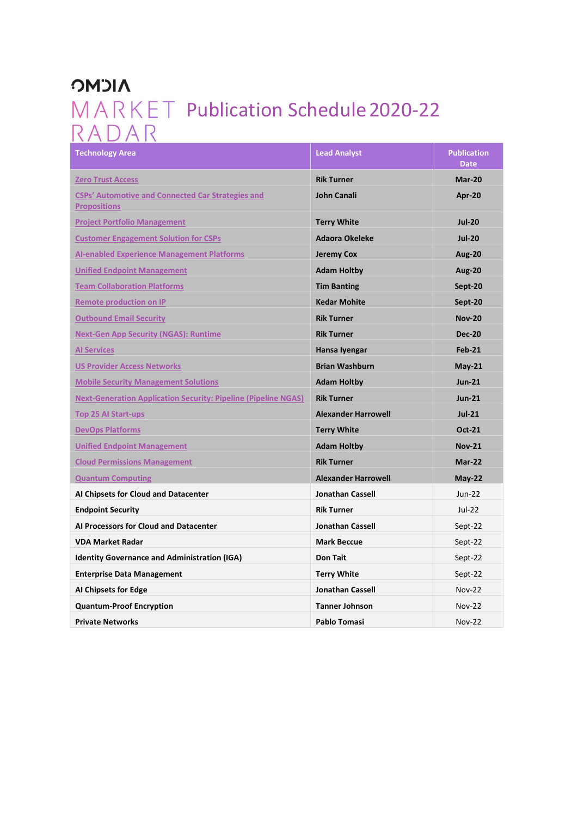## **NICMC** MARKET Publication Schedule 2020-22<br>RADAR

| <b>Technology Area</b>                                                          | <b>Lead Analyst</b>        | <b>Publication</b><br><b>Date</b> |
|---------------------------------------------------------------------------------|----------------------------|-----------------------------------|
| <b>Zero Trust Access</b>                                                        | <b>Rik Turner</b>          | Mar-20                            |
| <b>CSPs' Automotive and Connected Car Strategies and</b><br><b>Propositions</b> | <b>John Canali</b>         | <b>Apr-20</b>                     |
| <b>Project Portfolio Management</b>                                             | <b>Terry White</b>         | <b>Jul-20</b>                     |
| <b>Customer Engagement Solution for CSPs</b>                                    | <b>Adaora Okeleke</b>      | <b>Jul-20</b>                     |
| <b>AI-enabled Experience Management Platforms</b>                               | Jeremy Cox                 | <b>Aug-20</b>                     |
| <b>Unified Endpoint Management</b>                                              | <b>Adam Holtby</b>         | <b>Aug-20</b>                     |
| <b>Team Collaboration Platforms</b>                                             | <b>Tim Banting</b>         | Sept-20                           |
| <b>Remote production on IP</b>                                                  | <b>Kedar Mohite</b>        | Sept-20                           |
| <b>Outbound Email Security</b>                                                  | <b>Rik Turner</b>          | <b>Nov-20</b>                     |
| <b>Next-Gen App Security (NGAS): Runtime</b>                                    | <b>Rik Turner</b>          | <b>Dec-20</b>                     |
| <b>Al Services</b>                                                              | Hansa Iyengar              | <b>Feb-21</b>                     |
| <b>US Provider Access Networks</b>                                              | <b>Brian Washburn</b>      | $May-21$                          |
| <b>Mobile Security Management Solutions</b>                                     | <b>Adam Holtby</b>         | $Jun-21$                          |
| <b>Next-Generation Application Security: Pipeline (Pipeline NGAS)</b>           | <b>Rik Turner</b>          | $Jun-21$                          |
| <b>Top 25 AI Start-ups</b>                                                      | <b>Alexander Harrowell</b> | $Jul-21$                          |
| <b>DevOps Platforms</b>                                                         | <b>Terry White</b>         | <b>Oct-21</b>                     |
| <b>Unified Endpoint Management</b>                                              | <b>Adam Holtby</b>         | <b>Nov-21</b>                     |
| <b>Cloud Permissions Management</b>                                             | <b>Rik Turner</b>          | Mar-22                            |
| <b>Quantum Computing</b>                                                        | <b>Alexander Harrowell</b> | $May-22$                          |
| Al Chipsets for Cloud and Datacenter                                            | <b>Jonathan Cassell</b>    | <b>Jun-22</b>                     |
| <b>Endpoint Security</b>                                                        | <b>Rik Turner</b>          | $Jul-22$                          |
| Al Processors for Cloud and Datacenter                                          | <b>Jonathan Cassell</b>    | Sept-22                           |
| <b>VDA Market Radar</b>                                                         | <b>Mark Beccue</b>         | Sept-22                           |
| <b>Identity Governance and Administration (IGA)</b>                             | <b>Don Tait</b>            | Sept-22                           |
| <b>Enterprise Data Management</b>                                               | <b>Terry White</b>         | Sept-22                           |
| AI Chipsets for Edge                                                            | <b>Jonathan Cassell</b>    | $Nov-22$                          |
| <b>Quantum-Proof Encryption</b>                                                 | <b>Tanner Johnson</b>      | <b>Nov-22</b>                     |
| <b>Private Networks</b>                                                         | Pablo Tomasi               | $Nov-22$                          |